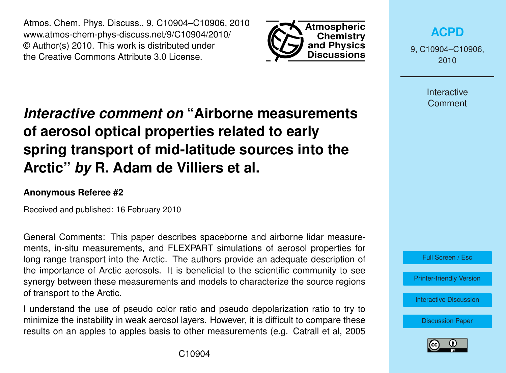Atmos. Chem. Phys. Discuss., 9, C10904–C10906, 2010 www.atmos-chem-phys-discuss.net/9/C10904/2010/ © Author(s) 2010. This work is distributed under the Creative Commons Attribute 3.0 License.



**[ACPD](http://www.atmos-chem-phys-discuss.net)**

9, C10904–C10906, 2010

> Interactive **Comment**

## *Interactive comment on* **"Airborne measurements of aerosol optical properties related to early spring transport of mid-latitude sources into the Arctic"** *by* **R. Adam de Villiers et al.**

## **Anonymous Referee #2**

Received and published: 16 February 2010

General Comments: This paper describes spaceborne and airborne lidar measurements, in-situ measurements, and FLEXPART simulations of aerosol properties for long range transport into the Arctic. The authors provide an adequate description of the importance of Arctic aerosols. It is beneficial to the scientific community to see synergy between these measurements and models to characterize the source regions of transport to the Arctic.

I understand the use of pseudo color ratio and pseudo depolarization ratio to try to minimize the instability in weak aerosol layers. However, it is difficult to compare these results on an apples to apples basis to other measurements (e.g. Catrall et al, 2005

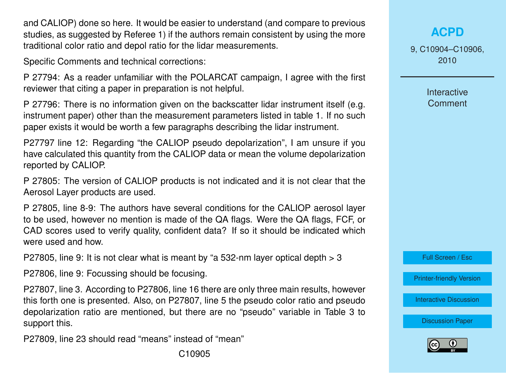and CALIOP) done so here. It would be easier to understand (and compare to previous studies, as suggested by Referee 1) if the authors remain consistent by using the more traditional color ratio and depol ratio for the lidar measurements.

Specific Comments and technical corrections:

P 27794: As a reader unfamiliar with the POLARCAT campaign, I agree with the first reviewer that citing a paper in preparation is not helpful.

P 27796: There is no information given on the backscatter lidar instrument itself (e.g. instrument paper) other than the measurement parameters listed in table 1. If no such paper exists it would be worth a few paragraphs describing the lidar instrument.

P27797 line 12: Regarding "the CALIOP pseudo depolarization", I am unsure if you have calculated this quantity from the CALIOP data or mean the volume depolarization reported by CALIOP.

P 27805: The version of CALIOP products is not indicated and it is not clear that the Aerosol Layer products are used.

P 27805, line 8-9: The authors have several conditions for the CALIOP aerosol layer to be used, however no mention is made of the QA flags. Were the QA flags, FCF, or CAD scores used to verify quality, confident data? If so it should be indicated which were used and how.

P27805, line 9: It is not clear what is meant by "a 532-nm layer optical depth > 3

P27806, line 9: Focussing should be focusing.

P27807, line 3. According to P27806, line 16 there are only three main results, however this forth one is presented. Also, on P27807, line 5 the pseudo color ratio and pseudo depolarization ratio are mentioned, but there are no "pseudo" variable in Table 3 to support this.

P27809, line 23 should read "means" instead of "mean"

## **[ACPD](http://www.atmos-chem-phys-discuss.net)**

9, C10904–C10906, 2010

> **Interactive Comment**

Full Screen / Esc

[Printer-friendly Version](http://www.atmos-chem-phys-discuss.net/9/C10904/2010/acpd-9-C10904-2010-print.pdf)

[Interactive Discussion](http://www.atmos-chem-phys-discuss.net/9/27791/2009/acpd-9-27791-2009-discussion.html)

[Discussion Paper](http://www.atmos-chem-phys-discuss.net/9/27791/2009/acpd-9-27791-2009.pdf)